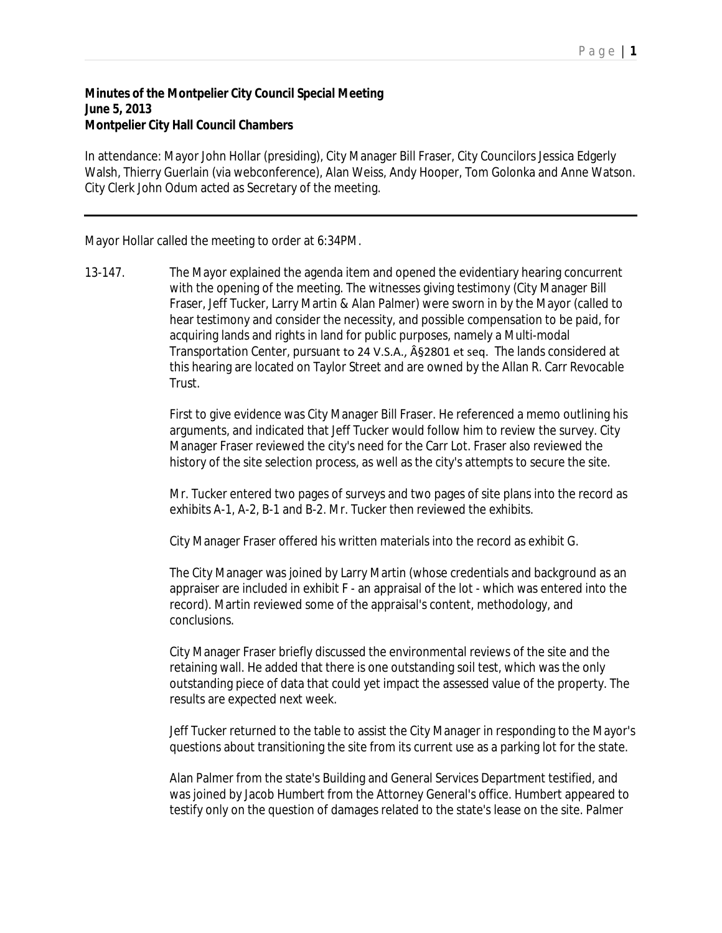## **Minutes of the Montpelier City Council Special Meeting June 5, 2013 Montpelier City Hall Council Chambers**

In attendance: Mayor John Hollar (presiding), City Manager Bill Fraser, City Councilors Jessica Edgerly Walsh, Thierry Guerlain (via webconference), Alan Weiss, Andy Hooper, Tom Golonka and Anne Watson. City Clerk John Odum acted as Secretary of the meeting.

Mayor Hollar called the meeting to order at 6:34PM.

13-147. The Mayor explained the agenda item and opened the evidentiary hearing concurrent with the opening of the meeting. The witnesses giving testimony (City Manager Bill Fraser, Jeff Tucker, Larry Martin & Alan Palmer) were sworn in by the Mayor (called to hear testimony and consider the necessity, and possible compensation to be paid, for acquiring lands and rights in land for public purposes, namely a Multi-modal Transportation Center, pursuant to 24 V.S.A., §2801 et seq. The lands considered at this hearing are located on Taylor Street and are owned by the Allan R. Carr Revocable Trust.

> First to give evidence was City Manager Bill Fraser. He referenced a memo outlining his arguments, and indicated that Jeff Tucker would follow him to review the survey. City Manager Fraser reviewed the city's need for the Carr Lot. Fraser also reviewed the history of the site selection process, as well as the city's attempts to secure the site.

> Mr. Tucker entered two pages of surveys and two pages of site plans into the record as exhibits A-1, A-2, B-1 and B-2. Mr. Tucker then reviewed the exhibits.

City Manager Fraser offered his written materials into the record as exhibit G.

The City Manager was joined by Larry Martin (whose credentials and background as an appraiser are included in exhibit F - an appraisal of the lot - which was entered into the record). Martin reviewed some of the appraisal's content, methodology, and conclusions.

City Manager Fraser briefly discussed the environmental reviews of the site and the retaining wall. He added that there is one outstanding soil test, which was the only outstanding piece of data that could yet impact the assessed value of the property. The results are expected next week.

Jeff Tucker returned to the table to assist the City Manager in responding to the Mayor's questions about transitioning the site from its current use as a parking lot for the state.

Alan Palmer from the state's Building and General Services Department testified, and was joined by Jacob Humbert from the Attorney General's office. Humbert appeared to testify only on the question of damages related to the state's lease on the site. Palmer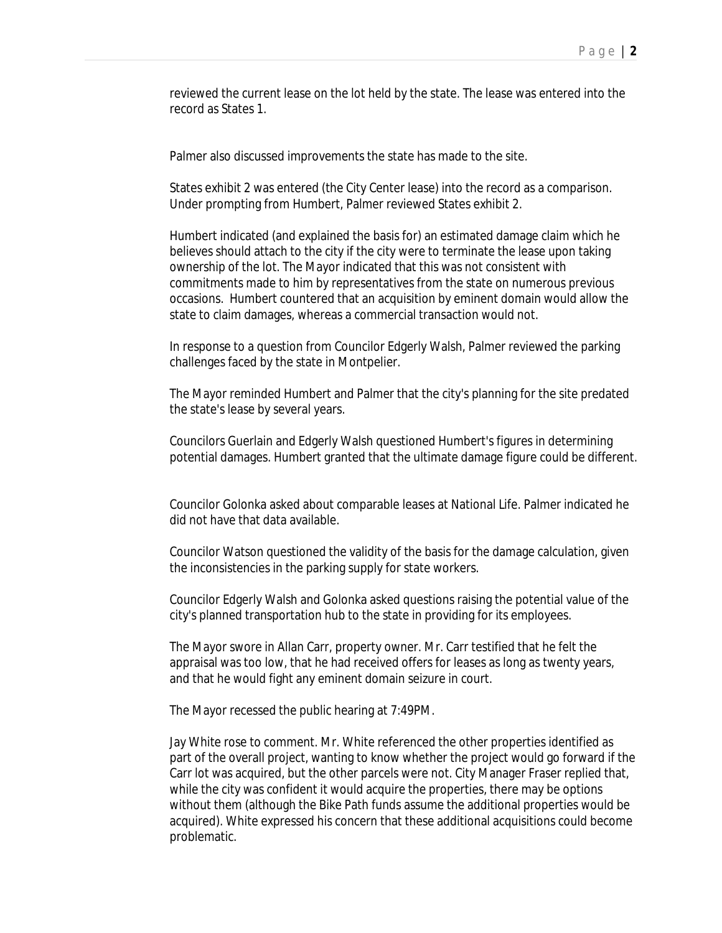reviewed the current lease on the lot held by the state. The lease was entered into the record as States 1.

Palmer also discussed improvements the state has made to the site.

States exhibit 2 was entered (the City Center lease) into the record as a comparison. Under prompting from Humbert, Palmer reviewed States exhibit 2.

Humbert indicated (and explained the basis for) an estimated damage claim which he believes should attach to the city if the city were to terminate the lease upon taking ownership of the lot. The Mayor indicated that this was not consistent with commitments made to him by representatives from the state on numerous previous occasions. Humbert countered that an acquisition by eminent domain would allow the state to claim damages, whereas a commercial transaction would not.

In response to a question from Councilor Edgerly Walsh, Palmer reviewed the parking challenges faced by the state in Montpelier.

The Mayor reminded Humbert and Palmer that the city's planning for the site predated the state's lease by several years.

Councilors Guerlain and Edgerly Walsh questioned Humbert's figures in determining potential damages. Humbert granted that the ultimate damage figure could be different.

Councilor Golonka asked about comparable leases at National Life. Palmer indicated he did not have that data available.

Councilor Watson questioned the validity of the basis for the damage calculation, given the inconsistencies in the parking supply for state workers.

Councilor Edgerly Walsh and Golonka asked questions raising the potential value of the city's planned transportation hub to the state in providing for its employees.

The Mayor swore in Allan Carr, property owner. Mr. Carr testified that he felt the appraisal was too low, that he had received offers for leases as long as twenty years, and that he would fight any eminent domain seizure in court.

The Mayor recessed the public hearing at 7:49PM.

Jay White rose to comment. Mr. White referenced the other properties identified as part of the overall project, wanting to know whether the project would go forward if the Carr lot was acquired, but the other parcels were not. City Manager Fraser replied that, while the city was confident it would acquire the properties, there may be options without them (although the Bike Path funds assume the additional properties would be acquired). White expressed his concern that these additional acquisitions could become problematic.